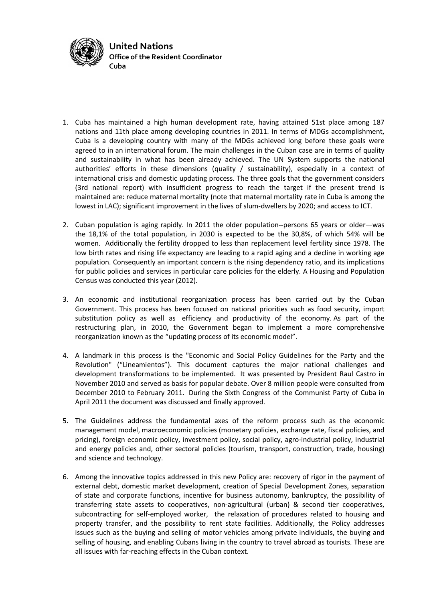

- 1. Cuba has maintained a high human development rate, having attained 51st place among 187 nations and 11th place among developing countries in 2011. In terms of MDGs accomplishment, Cuba is a developing country with many of the MDGs achieved long before these goals were agreed to in an international forum. The main challenges in the Cuban case are in terms of quality and sustainability in what has been already achieved. The UN System supports the national authorities' efforts in these dimensions (quality / sustainability), especially in a context of international crisis and domestic updating process. The three goals that the government considers (3rd national report) with insufficient progress to reach the target if the present trend is maintained are: reduce maternal mortality (note that maternal mortality rate in Cuba is among the lowest in LAC); significant improvement in the lives of slum-dwellers by 2020; and access to ICT.
- 2. Cuban population is aging rapidly. In 2011 the older population--persons 65 years or older—was the 18,1% of the total population, in 2030 is expected to be the 30,8%, of which 54% will be women. Additionally the fertility dropped to less than replacement level fertility since 1978. The low birth rates and rising life expectancy are leading to a rapid aging and a decline in working age population. Consequently an important concern is the rising dependency ratio, and its implications for public policies and services in particular care policies for the elderly. A Housing and Population Census was conducted this year (2012).
- 3. An economic and institutional reorganization process has been carried out by the Cuban Government. This process has been focused on national priorities such as food security, import substitution policy as well as efficiency and productivity of the economy. As part of the restructuring plan, in 2010, the Government began to implement a more comprehensive reorganization known as the "updating process of its economic model".
- 4. A landmark in this process is the "Economic and Social Policy Guidelines for the Party and the Revolution" ("Lineamientos"). This document captures the major national challenges and development transformations to be implemented. It was presented by President Raul Castro in November 2010 and served as basis for popular debate. Over 8 million people were consulted from December 2010 to February 2011. During the Sixth Congress of the Communist Party of Cuba in April 2011 the document was discussed and finally approved.
- 5. The Guidelines address the fundamental axes of the reform process such as the economic management model, macroeconomic policies (monetary policies, exchange rate, fiscal policies, and pricing), foreign economic policy, investment policy, social policy, agro-industrial policy, industrial and energy policies and, other sectoral policies (tourism, transport, construction, trade, housing) and science and technology.
- 6. Among the innovative topics addressed in this new Policy are: recovery of rigor in the payment of external debt, domestic market development, creation of Special Development Zones, separation of state and corporate functions, incentive for business autonomy, bankruptcy, the possibility of transferring state assets to cooperatives, non-agricultural (urban) & second tier cooperatives, subcontracting for self-employed worker, the relaxation of procedures related to housing and property transfer, and the possibility to rent state facilities. Additionally, the Policy addresses issues such as the buying and selling of motor vehicles among private individuals, the buying and selling of housing, and enabling Cubans living in the country to travel abroad as tourists. These are all issues with far-reaching effects in the Cuban context.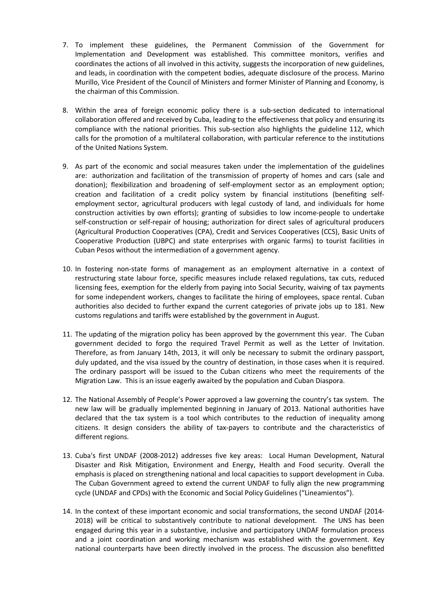- 7. To implement these guidelines, the Permanent Commission of the Government for Implementation and Development was established. This committee monitors, verifies and coordinates the actions of all involved in this activity, suggests the incorporation of new guidelines, and leads, in coordination with the competent bodies, adequate disclosure of the process. Marino Murillo, Vice President of the Council of Ministers and former Minister of Planning and Economy, is the chairman of this Commission.
- 8. Within the area of foreign economic policy there is a sub-section dedicated to international collaboration offered and received by Cuba, leading to the effectiveness that policy and ensuring its compliance with the national priorities. This sub-section also highlights the guideline 112, which calls for the promotion of a multilateral collaboration, with particular reference to the institutions of the United Nations System.
- 9. As part of the economic and social measures taken under the implementation of the guidelines are: authorization and facilitation of the transmission of property of homes and cars (sale and donation); flexibilization and broadening of self-employment sector as an employment option; creation and facilitation of a credit policy system by financial institutions (benefiting selfemployment sector, agricultural producers with legal custody of land, and individuals for home construction activities by own efforts); granting of subsidies to low income-people to undertake self-construction or self-repair of housing; authorization for direct sales of agricultural producers (Agricultural Production Cooperatives (CPA), Credit and Services Cooperatives (CCS), Basic Units of Cooperative Production (UBPC) and state enterprises with organic farms) to tourist facilities in Cuban Pesos without the intermediation of a government agency.
- 10. In fostering non-state forms of management as an employment alternative in a context of restructuring state labour force, specific measures include relaxed regulations, tax cuts, reduced licensing fees, exemption for the elderly from paying into Social Security, waiving of tax payments for some independent workers, changes to facilitate the hiring of employees, space rental. Cuban authorities also decided to further expand the current categories of private jobs up to 181. New customs regulations and tariffs were established by the government in August.
- 11. The updating of the migration policy has been approved by the government this year. The Cuban government decided to forgo the required Travel Permit as well as the Letter of Invitation. Therefore, as from January 14th, 2013, it will only be necessary to submit the ordinary passport, duly updated, and the visa issued by the country of destination, in those cases when it is required. The ordinary passport will be issued to the Cuban citizens who meet the requirements of the Migration Law. This is an issue eagerly awaited by the population and Cuban Diaspora.
- 12. The National Assembly of People's Power approved a law governing the country's tax system. The new law will be gradually implemented beginning in January of 2013. National authorities have declared that the tax system is a tool which contributes to the reduction of inequality among citizens. It design considers the ability of tax-payers to contribute and the characteristics of different regions.
- 13. Cuba's first UNDAF (2008-2012) addresses five key areas: Local Human Development, Natural Disaster and Risk Mitigation, Environment and Energy, Health and Food security. Overall the emphasis is placed on strengthening national and local capacities to support development in Cuba. The Cuban Government agreed to extend the current UNDAF to fully align the new programming cycle (UNDAF and CPDs) with the Economic and Social Policy Guidelines ("Lineamientos").
- 14. In the context of these important economic and social transformations, the second UNDAF (2014- 2018) will be critical to substantively contribute to national development. The UNS has been engaged during this year in a substantive, inclusive and participatory UNDAF formulation process and a joint coordination and working mechanism was established with the government. Key national counterparts have been directly involved in the process. The discussion also benefitted